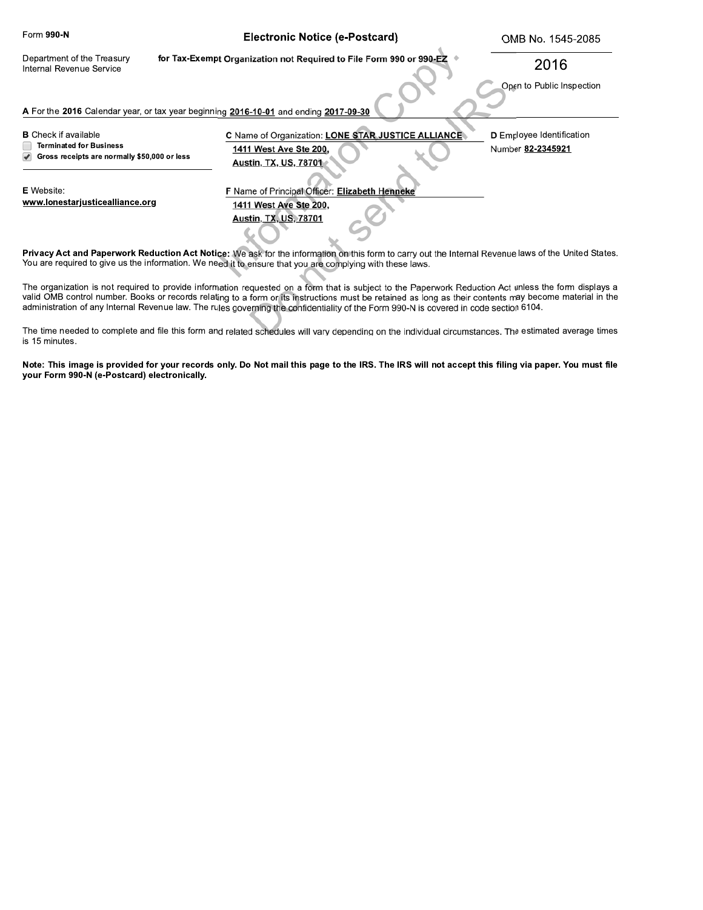| Form 990-N                                                                                                                                           | <b>Electronic Notice (e-Postcard)</b>                                                                        | OMB No. 1545-2085                                     |
|------------------------------------------------------------------------------------------------------------------------------------------------------|--------------------------------------------------------------------------------------------------------------|-------------------------------------------------------|
| Department of the Treasury<br>Internal Revenue Service                                                                                               | for Tax-Exempt Organization not Required to File Form 990 or 990-EZ                                          | 2016                                                  |
|                                                                                                                                                      |                                                                                                              | Open to Public Inspection                             |
| A For the 2016 Calendar year, or tax year beginning 2016-10-01 and ending 2017-09-30                                                                 |                                                                                                              |                                                       |
| <b>B</b> Check if available<br><b>Terminated for Business</b><br>Gross receipts are normally \$50,000 or less                                        | C Name of Organization: LONE STAR JUSTICE ALLIANCE<br>1411 West Ave Ste 200,<br><b>Austin, TX, US, 78701</b> | <b>D</b> Employee Identification<br>Number 82-2345921 |
| <b>E</b> Website:<br>www.lonestarjusticealliance.org                                                                                                 | F Name of Principal Officer: Elizabeth Henneke<br>1411 West Ave Ste 200,<br><b>Austin, TX, US, 78701</b>     |                                                       |
| Privacy Act and Paperwork Reduction Act Notice: We ask for the information on this form to carry out the Internal Revenue laws of the United States. |                                                                                                              |                                                       |

You are required to give us the information. We need it to ensure that you are complying with these laws. The organization is not required to provide information requested on a form that is subject to the Paperwork Reduction Act unless the form displays a

valid OMB control number. Books or records relating to a form or its instructions must be retained as long as their contents may become material in the administration of any Internal Revenue law. The rules governing the confidentiality of the Form 990-N is covered in code section 6104.

The time needed to complete and file this form and related schedules will vary depending on the individual circumstances. The estimated average times is 15 minutes.

Note: This image is provided for your records only. Do Not mail this page to the IRS. The IRS will not accept this filing via paper. You must file your Form 990-N (e-Postcard) electronically.